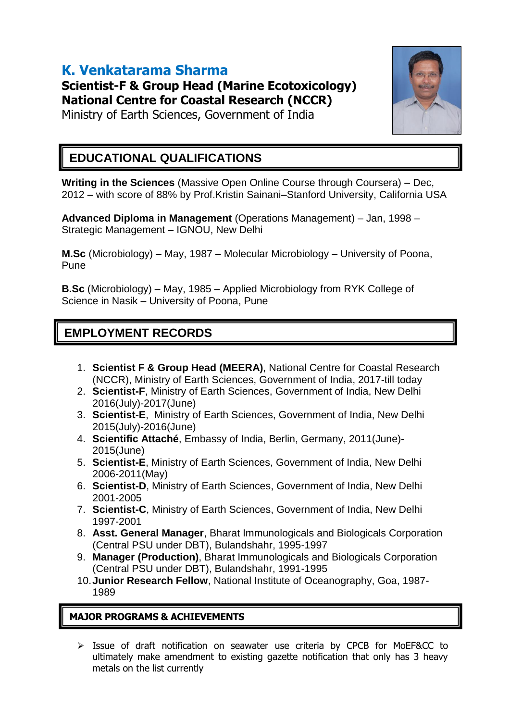# **K. Venkatarama Sharma**

**Scientist-F & Group Head (Marine Ecotoxicology) National Centre for Coastal Research (NCCR)**

Ministry of Earth Sciences, Government of India



## **EDUCATIONAL QUALIFICATIONS**

**Writing in the Sciences** (Massive Open Online Course through Coursera) – Dec, 2012 – with score of 88% by Prof.Kristin Sainani–Stanford University, California USA

**Advanced Diploma in Management** (Operations Management) – Jan, 1998 – Strategic Management – IGNOU, New Delhi

**M.Sc** (Microbiology) – May, 1987 – Molecular Microbiology – University of Poona, Pune

**B.Sc** (Microbiology) – May, 1985 – Applied Microbiology from RYK College of Science in Nasik – University of Poona, Pune

## **EMPLOYMENT RECORDS**

- 1. **Scientist F & Group Head (MEERA)**, National Centre for Coastal Research (NCCR), Ministry of Earth Sciences, Government of India, 2017-till today
- 2. **Scientist-F**, Ministry of Earth Sciences, Government of India, New Delhi 2016(July)-2017(June)
- 3. **Scientist-E**, Ministry of Earth Sciences, Government of India, New Delhi 2015(July)-2016(June)
- 4. **Scientific Attaché**, Embassy of India, Berlin, Germany, 2011(June)- 2015(June)
- 5. **Scientist-E**, Ministry of Earth Sciences, Government of India, New Delhi 2006-2011(May)
- 6. **Scientist-D**, Ministry of Earth Sciences, Government of India, New Delhi 2001-2005
- 7. **Scientist-C**, Ministry of Earth Sciences, Government of India, New Delhi 1997-2001
- 8. **Asst. General Manager**, Bharat Immunologicals and Biologicals Corporation (Central PSU under DBT), Bulandshahr, 1995-1997
- 9. **Manager (Production)**, Bharat Immunologicals and Biologicals Corporation (Central PSU under DBT), Bulandshahr, 1991-1995
- 10.**Junior Research Fellow**, National Institute of Oceanography, Goa, 1987- 1989

### **MAJOR PROGRAMS & ACHIEVEMENTS**

 $\triangleright$  Issue of draft notification on seawater use criteria by CPCB for MoEF&CC to ultimately make amendment to existing gazette notification that only has 3 heavy metals on the list currently